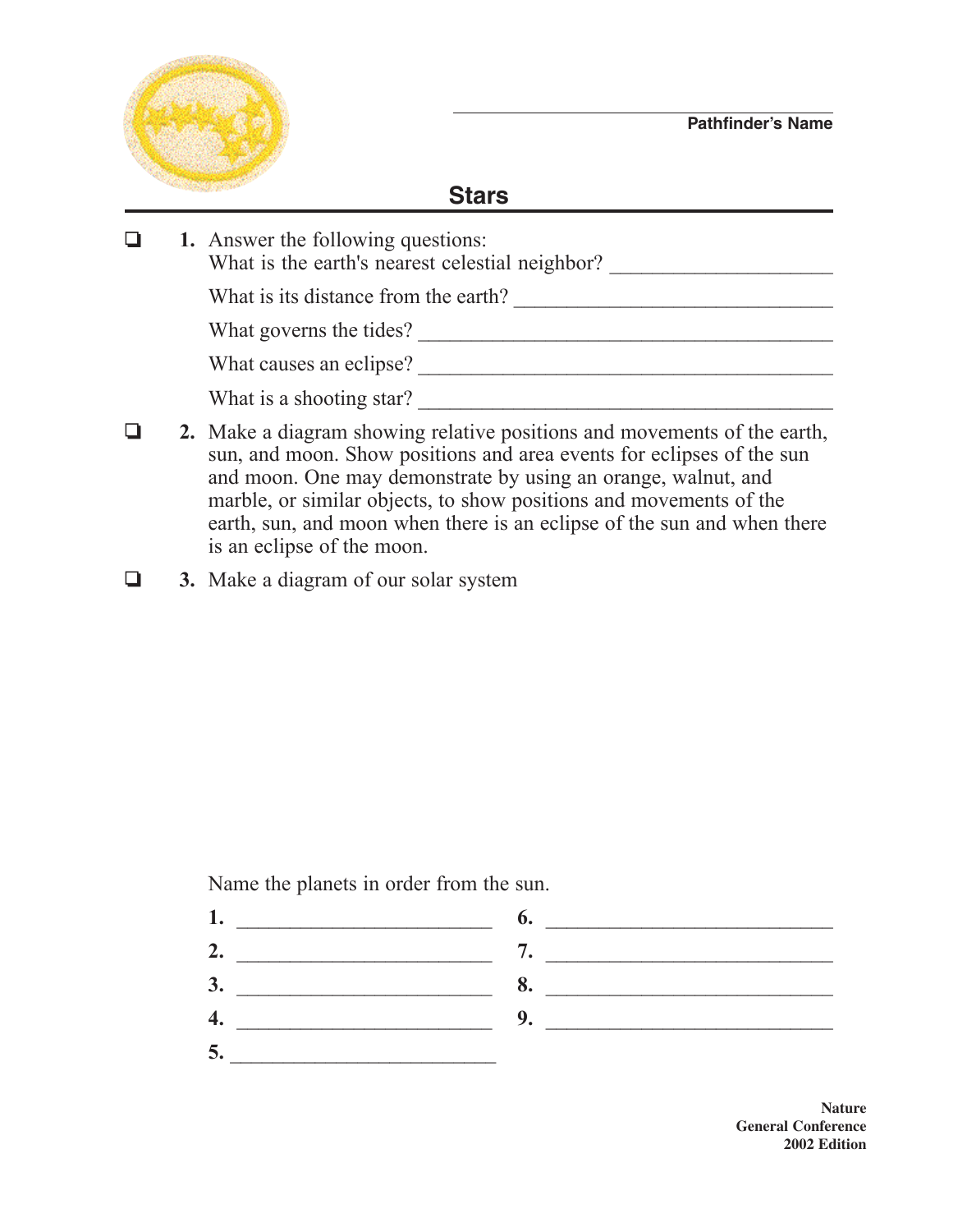

## **Stars**

|  | 1. Answer the following questions:<br>What is the earth's nearest celestial neighbor? |
|--|---------------------------------------------------------------------------------------|
|  | What is its distance from the earth?                                                  |
|  | What governs the tides?                                                               |
|  | What causes an eclipse?                                                               |
|  | What is a shooting star?                                                              |
|  |                                                                                       |

- **2.** Make a diagram showing relative positions and movements of the earth, sun, and moon. Show positions and area events for eclipses of the sun and moon. One may demonstrate by using an orange, walnut, and marble, or similar objects, to show positions and movements of the earth, sun, and moon when there is an eclipse of the sun and when there is an eclipse of the moon.
- **4.** 3. Make a diagram of our solar system

Name the planets in order from the sun.

**5.** \_\_\_\_\_\_\_\_\_\_\_\_\_\_\_\_\_\_\_\_\_\_\_\_\_

**1.** \_\_\_\_\_\_\_\_\_\_\_\_\_\_\_\_\_\_\_\_\_\_\_\_ **6.** \_\_\_\_\_\_\_\_\_\_\_\_\_\_\_\_\_\_\_\_\_\_\_\_\_\_\_ **2.** \_\_\_\_\_\_\_\_\_\_\_\_\_\_\_\_\_\_\_\_\_\_\_\_ **7.** \_\_\_\_\_\_\_\_\_\_\_\_\_\_\_\_\_\_\_\_\_\_\_\_\_\_\_ **3.** \_\_\_\_\_\_\_\_\_\_\_\_\_\_\_\_\_\_\_\_\_\_\_\_ **8.** \_\_\_\_\_\_\_\_\_\_\_\_\_\_\_\_\_\_\_\_\_\_\_\_\_\_\_ **4.** \_\_\_\_\_\_\_\_\_\_\_\_\_\_\_\_\_\_\_\_\_\_\_\_ **9.** \_\_\_\_\_\_\_\_\_\_\_\_\_\_\_\_\_\_\_\_\_\_\_\_\_\_\_

> **Nature General Conference 2002 Edition**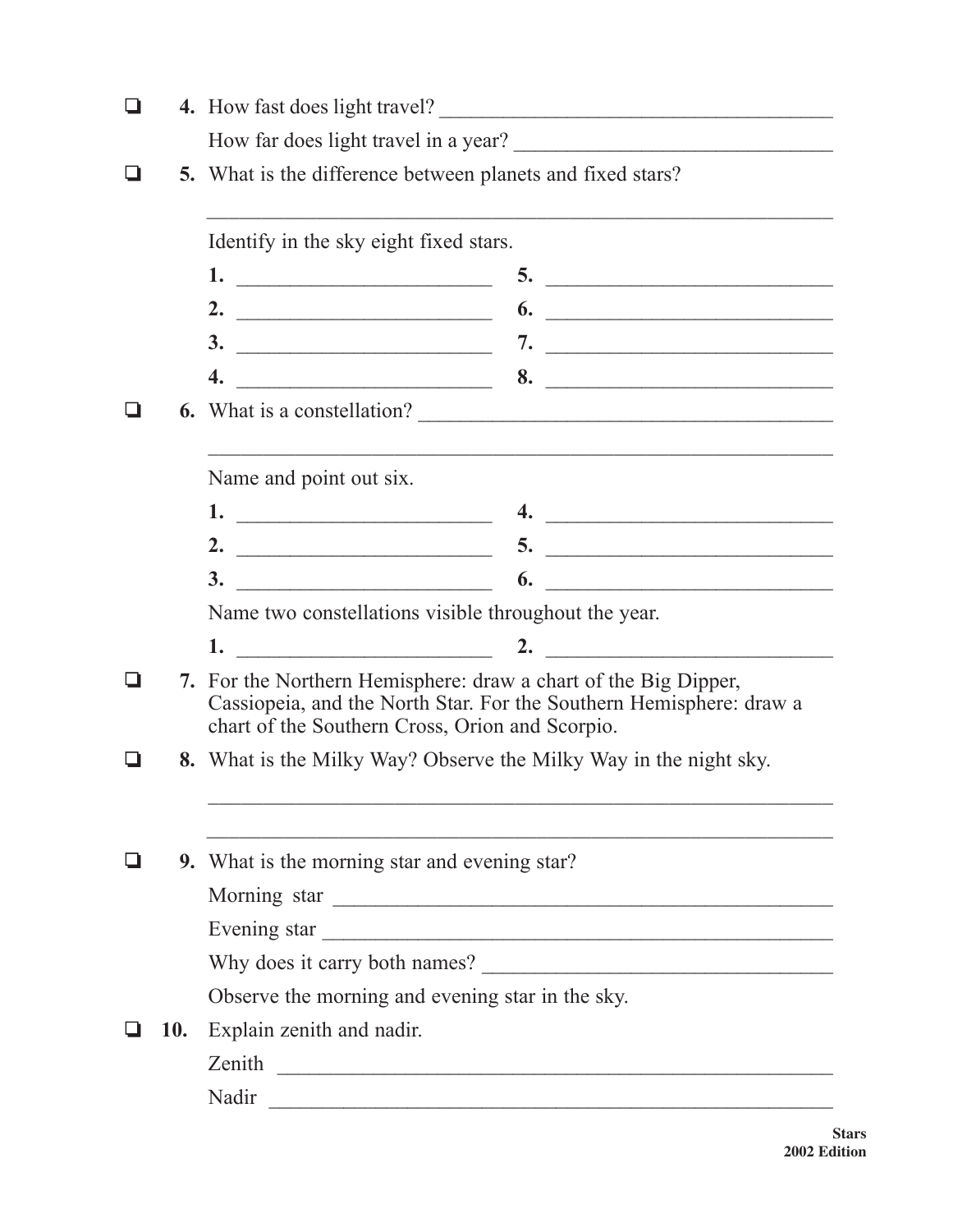| l I |            |                                                                                                                                                                                        | 4. How fast does light travel?                                                               |  |
|-----|------------|----------------------------------------------------------------------------------------------------------------------------------------------------------------------------------------|----------------------------------------------------------------------------------------------|--|
|     |            |                                                                                                                                                                                        | How far does light travel in a year?                                                         |  |
|     |            | <b>5.</b> What is the difference between planets and fixed stars?                                                                                                                      |                                                                                              |  |
|     |            | Identify in the sky eight fixed stars.                                                                                                                                                 |                                                                                              |  |
|     |            |                                                                                                                                                                                        |                                                                                              |  |
|     |            | 2. $\qquad \qquad$                                                                                                                                                                     | $\begin{array}{c}\n\bullet \\ \bullet\n\end{array}$                                          |  |
|     |            |                                                                                                                                                                                        |                                                                                              |  |
|     |            | 4.                                                                                                                                                                                     | $\overbrace{\hspace{2.5cm}}$ 8. $\overbrace{\hspace{2.5cm}}$ 8. $\overbrace{\hspace{2.5cm}}$ |  |
|     |            |                                                                                                                                                                                        | 6. What is a constellation?                                                                  |  |
|     |            | Name and point out six.                                                                                                                                                                |                                                                                              |  |
|     |            |                                                                                                                                                                                        | 4. $\overline{\phantom{a}}$                                                                  |  |
|     |            |                                                                                                                                                                                        | 5.                                                                                           |  |
|     |            |                                                                                                                                                                                        | $\overline{\phantom{a}}$                                                                     |  |
|     |            | Name two constellations visible throughout the year.                                                                                                                                   |                                                                                              |  |
|     |            | $1.$ 2.                                                                                                                                                                                |                                                                                              |  |
|     | 7.         | For the Northern Hemisphere: draw a chart of the Big Dipper,<br>Cassiopeia, and the North Star. For the Southern Hemisphere: draw a<br>chart of the Southern Cross, Orion and Scorpio. |                                                                                              |  |
|     |            | 8. What is the Milky Way? Observe the Milky Way in the night sky.                                                                                                                      |                                                                                              |  |
|     |            |                                                                                                                                                                                        |                                                                                              |  |
|     |            | 9. What is the morning star and evening star?                                                                                                                                          |                                                                                              |  |
|     |            | Morning star                                                                                                                                                                           |                                                                                              |  |
|     |            | Evening star                                                                                                                                                                           |                                                                                              |  |
|     |            |                                                                                                                                                                                        |                                                                                              |  |
|     |            | Observe the morning and evening star in the sky.                                                                                                                                       |                                                                                              |  |
|     | <b>10.</b> | Explain zenith and nadir.                                                                                                                                                              |                                                                                              |  |
|     |            | Zenith                                                                                                                                                                                 |                                                                                              |  |
|     |            | Nadir                                                                                                                                                                                  |                                                                                              |  |